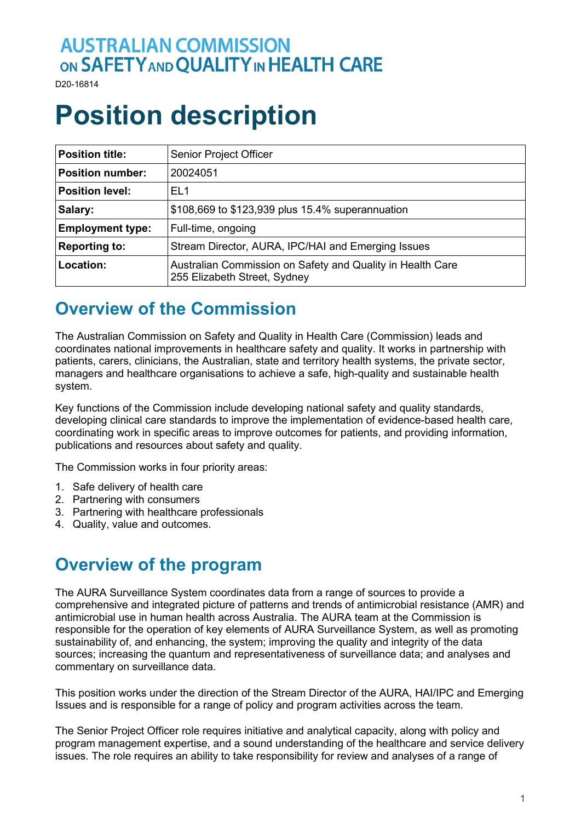## **AUSTRALIAN COMMISSION** ON SAFETY AND QUALITY IN HEALTH CARE

D20-16814

# **Position description**

| <b>Position title:</b>  | <b>Senior Project Officer</b>                                                              |
|-------------------------|--------------------------------------------------------------------------------------------|
| <b>Position number:</b> | 20024051                                                                                   |
| <b>Position level:</b>  | EL <sub>1</sub>                                                                            |
| Salary:                 | \$108,669 to \$123,939 plus 15.4% superannuation                                           |
| <b>Employment type:</b> | Full-time, ongoing                                                                         |
| <b>Reporting to:</b>    | Stream Director, AURA, IPC/HAI and Emerging Issues                                         |
| Location:               | Australian Commission on Safety and Quality in Health Care<br>255 Elizabeth Street, Sydney |

#### **Overview of the Commission**

The Australian Commission on Safety and Quality in Health Care (Commission) leads and coordinates national improvements in healthcare safety and quality. It works in partnership with patients, carers, clinicians, the Australian, state and territory health systems, the private sector, managers and healthcare organisations to achieve a safe, high-quality and sustainable health system.

Key functions of the Commission include developing national safety and quality standards, developing clinical care standards to improve the implementation of evidence-based health care, coordinating work in specific areas to improve outcomes for patients, and providing information, publications and resources about safety and quality.

The Commission works in four priority areas:

- 1. Safe delivery of health care
- 2. Partnering with consumers
- 3. Partnering with healthcare professionals
- 4. Quality, value and outcomes.

#### **Overview of the program**

The AURA Surveillance System coordinates data from a range of sources to provide a comprehensive and integrated picture of patterns and trends of antimicrobial resistance (AMR) and antimicrobial use in human health across Australia. The AURA team at the Commission is responsible for the operation of key elements of AURA Surveillance System, as well as promoting sustainability of, and enhancing, the system; improving the quality and integrity of the data sources; increasing the quantum and representativeness of surveillance data; and analyses and commentary on surveillance data.

This position works under the direction of the Stream Director of the AURA, HAI/IPC and Emerging Issues and is responsible for a range of policy and program activities across the team.

The Senior Project Officer role requires initiative and analytical capacity, along with policy and program management expertise, and a sound understanding of the healthcare and service delivery issues. The role requires an ability to take responsibility for review and analyses of a range of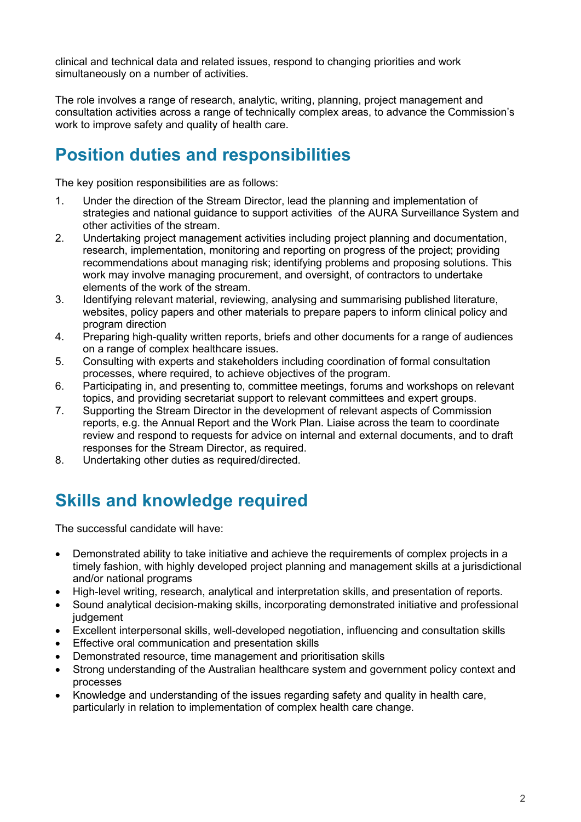clinical and technical data and related issues, respond to changing priorities and work simultaneously on a number of activities.

The role involves a range of research, analytic, writing, planning, project management and consultation activities across a range of technically complex areas, to advance the Commission's work to improve safety and quality of health care.

### **Position duties and responsibilities**

The key position responsibilities are as follows:

- 1. Under the direction of the Stream Director, lead the planning and implementation of strategies and national guidance to support activities of the AURA Surveillance System and other activities of the stream.
- 2. Undertaking project management activities including project planning and documentation, research, implementation, monitoring and reporting on progress of the project; providing recommendations about managing risk; identifying problems and proposing solutions. This work may involve managing procurement, and oversight, of contractors to undertake elements of the work of the stream.
- 3. Identifying relevant material, reviewing, analysing and summarising published literature, websites, policy papers and other materials to prepare papers to inform clinical policy and program direction
- 4. Preparing high-quality written reports, briefs and other documents for a range of audiences on a range of complex healthcare issues.
- 5. Consulting with experts and stakeholders including coordination of formal consultation processes, where required, to achieve objectives of the program.
- 6. Participating in, and presenting to, committee meetings, forums and workshops on relevant topics, and providing secretariat support to relevant committees and expert groups.
- 7. Supporting the Stream Director in the development of relevant aspects of Commission reports, e.g. the Annual Report and the Work Plan. Liaise across the team to coordinate review and respond to requests for advice on internal and external documents, and to draft responses for the Stream Director, as required.
- 8. Undertaking other duties as required/directed.

## **Skills and knowledge required**

The successful candidate will have:

- Demonstrated ability to take initiative and achieve the requirements of complex projects in a timely fashion, with highly developed project planning and management skills at a jurisdictional and/or national programs
- High-level writing, research, analytical and interpretation skills, and presentation of reports.
- Sound analytical decision-making skills, incorporating demonstrated initiative and professional iudgement
- Excellent interpersonal skills, well-developed negotiation, influencing and consultation skills
- Effective oral communication and presentation skills
- Demonstrated resource, time management and prioritisation skills
- Strong understanding of the Australian healthcare system and government policy context and processes
- Knowledge and understanding of the issues regarding safety and quality in health care, particularly in relation to implementation of complex health care change.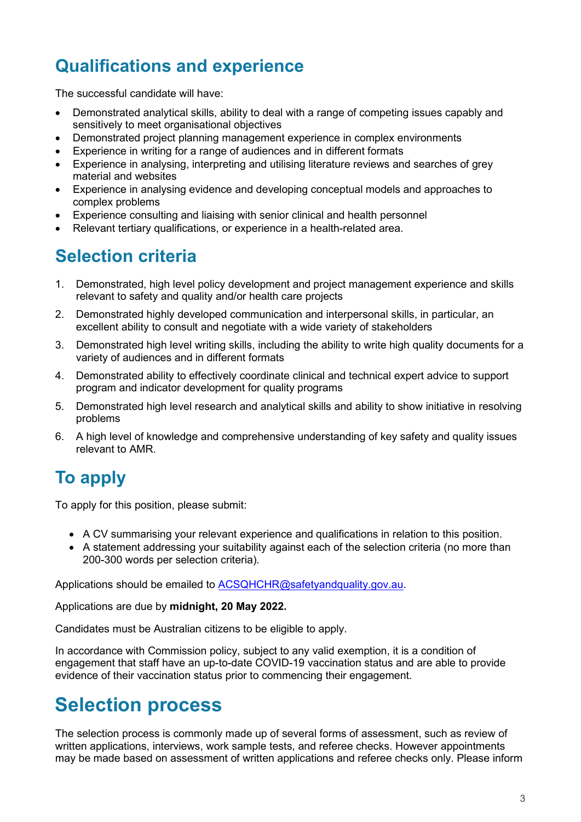# **Qualifications and experience**

The successful candidate will have:

- Demonstrated analytical skills, ability to deal with a range of competing issues capably and sensitively to meet organisational objectives
- Demonstrated project planning management experience in complex environments
- Experience in writing for a range of audiences and in different formats
- Experience in analysing, interpreting and utilising literature reviews and searches of grey material and websites
- Experience in analysing evidence and developing conceptual models and approaches to complex problems
- Experience consulting and liaising with senior clinical and health personnel
- Relevant tertiary qualifications, or experience in a health-related area.

### **Selection criteria**

- 1. Demonstrated, high level policy development and project management experience and skills relevant to safety and quality and/or health care projects
- 2. Demonstrated highly developed communication and interpersonal skills, in particular, an excellent ability to consult and negotiate with a wide variety of stakeholders
- 3. Demonstrated high level writing skills, including the ability to write high quality documents for a variety of audiences and in different formats
- 4. Demonstrated ability to effectively coordinate clinical and technical expert advice to support program and indicator development for quality programs
- 5. Demonstrated high level research and analytical skills and ability to show initiative in resolving problems
- 6. A high level of knowledge and comprehensive understanding of key safety and quality issues relevant to AMR.

# **To apply**

To apply for this position, please submit:

- A CV summarising your relevant experience and qualifications in relation to this position.
- A statement addressing your suitability against each of the selection criteria (no more than 200-300 words per selection criteria).

Applications should be emailed to [ACSQHCHR@safetyandquality.gov.au.](mailto:ACSQHCHR@safetyandquality.gov.au)

Applications are due by **midnight, 20 May 2022.**

Candidates must be Australian citizens to be eligible to apply.

In accordance with Commission policy, subject to any valid exemption, it is a condition of engagement that staff have an up-to-date COVID-19 vaccination status and are able to provide evidence of their vaccination status prior to commencing their engagement.

# **Selection process**

The selection process is commonly made up of several forms of assessment, such as review of written applications, interviews, work sample tests, and referee checks. However appointments may be made based on assessment of written applications and referee checks only. Please inform